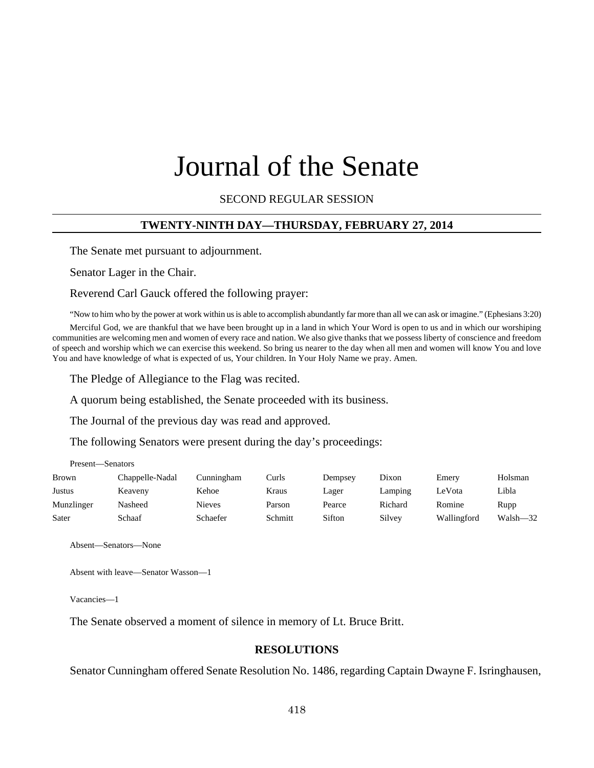# Journal of the Senate

SECOND REGULAR SESSION

#### **TWENTY-NINTH DAY—THURSDAY, FEBRUARY 27, 2014**

The Senate met pursuant to adjournment.

Senator Lager in the Chair.

Reverend Carl Gauck offered the following prayer:

"Now to him who by the power at work within us is able to accomplish abundantly far more than all we can ask or imagine." (Ephesians 3:20)

Merciful God, we are thankful that we have been brought up in a land in which Your Word is open to us and in which our worshiping communities are welcoming men and women of every race and nation. We also give thanks that we possess liberty of conscience and freedom of speech and worship which we can exercise this weekend. So bring us nearer to the day when all men and women will know You and love You and have knowledge of what is expected of us, Your children. In Your Holy Name we pray. Amen.

The Pledge of Allegiance to the Flag was recited.

A quorum being established, the Senate proceeded with its business.

The Journal of the previous day was read and approved.

The following Senators were present during the day's proceedings:

| <b>Brown</b> | Chappelle-Nadal | Cunningham    | Curls   | Dempsey | Dixon   | Emery       | Holsman  |
|--------------|-----------------|---------------|---------|---------|---------|-------------|----------|
| Justus       | Keaveny         | Kehoe         | Kraus   | Lager   | Lamping | LeVota      | Libla    |
| Munzlinger   | Nasheed         | <b>Nieves</b> | Parson  | Pearce  | Richard | Romine      | Rupp     |
| Sater        | Schaaf          | Schaefer      | Schmitt | Sifton  | Silvey  | Wallingford | Walsh-32 |

Absent—Senators—None

Present—Senators

Absent with leave—Senator Wasson—1

Vacancies—1

The Senate observed a moment of silence in memory of Lt. Bruce Britt.

#### **RESOLUTIONS**

Senator Cunningham offered Senate Resolution No. 1486, regarding Captain Dwayne F. Isringhausen,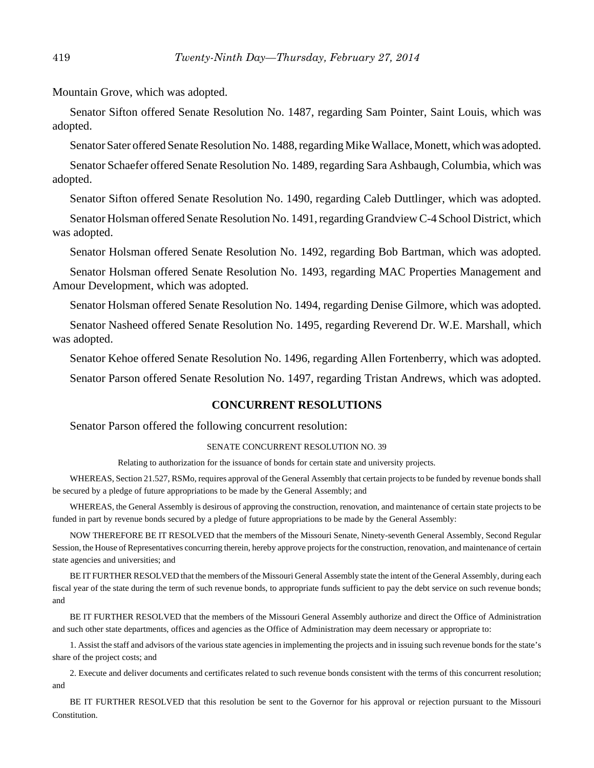Mountain Grove, which was adopted.

Senator Sifton offered Senate Resolution No. 1487, regarding Sam Pointer, Saint Louis, which was adopted.

Senator Sater offered Senate Resolution No. 1488, regarding Mike Wallace, Monett, which was adopted.

Senator Schaefer offered Senate Resolution No. 1489, regarding Sara Ashbaugh, Columbia, which was adopted.

Senator Sifton offered Senate Resolution No. 1490, regarding Caleb Duttlinger, which was adopted.

Senator Holsman offered Senate Resolution No. 1491, regarding Grandview C-4 School District, which was adopted.

Senator Holsman offered Senate Resolution No. 1492, regarding Bob Bartman, which was adopted.

Senator Holsman offered Senate Resolution No. 1493, regarding MAC Properties Management and Amour Development, which was adopted.

Senator Holsman offered Senate Resolution No. 1494, regarding Denise Gilmore, which was adopted.

Senator Nasheed offered Senate Resolution No. 1495, regarding Reverend Dr. W.E. Marshall, which was adopted.

Senator Kehoe offered Senate Resolution No. 1496, regarding Allen Fortenberry, which was adopted.

Senator Parson offered Senate Resolution No. 1497, regarding Tristan Andrews, which was adopted.

#### **CONCURRENT RESOLUTIONS**

Senator Parson offered the following concurrent resolution:

#### SENATE CONCURRENT RESOLUTION NO. 39

Relating to authorization for the issuance of bonds for certain state and university projects.

WHEREAS, Section 21.527, RSMo, requires approval of the General Assembly that certain projects to be funded by revenue bonds shall be secured by a pledge of future appropriations to be made by the General Assembly; and

WHEREAS, the General Assembly is desirous of approving the construction, renovation, and maintenance of certain state projects to be funded in part by revenue bonds secured by a pledge of future appropriations to be made by the General Assembly:

NOW THEREFORE BE IT RESOLVED that the members of the Missouri Senate, Ninety-seventh General Assembly, Second Regular Session, the House of Representatives concurring therein, hereby approve projects for the construction, renovation, and maintenance of certain state agencies and universities; and

BE IT FURTHER RESOLVED that the members of the Missouri General Assembly state the intent of the General Assembly, during each fiscal year of the state during the term of such revenue bonds, to appropriate funds sufficient to pay the debt service on such revenue bonds; and

BE IT FURTHER RESOLVED that the members of the Missouri General Assembly authorize and direct the Office of Administration and such other state departments, offices and agencies as the Office of Administration may deem necessary or appropriate to:

1. Assist the staff and advisors of the various state agencies in implementing the projects and in issuing such revenue bonds for the state's share of the project costs; and

2. Execute and deliver documents and certificates related to such revenue bonds consistent with the terms of this concurrent resolution; and

BE IT FURTHER RESOLVED that this resolution be sent to the Governor for his approval or rejection pursuant to the Missouri Constitution.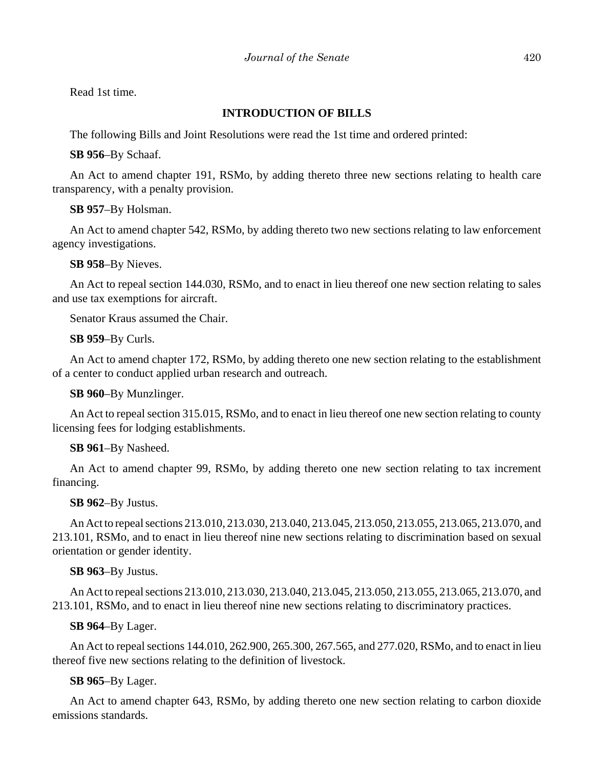Read 1st time.

# **INTRODUCTION OF BILLS**

The following Bills and Joint Resolutions were read the 1st time and ordered printed:

**SB 956**–By Schaaf.

An Act to amend chapter 191, RSMo, by adding thereto three new sections relating to health care transparency, with a penalty provision.

## **SB 957**–By Holsman.

An Act to amend chapter 542, RSMo, by adding thereto two new sections relating to law enforcement agency investigations.

**SB 958**–By Nieves.

An Act to repeal section 144.030, RSMo, and to enact in lieu thereof one new section relating to sales and use tax exemptions for aircraft.

Senator Kraus assumed the Chair.

**SB 959**–By Curls.

An Act to amend chapter 172, RSMo, by adding thereto one new section relating to the establishment of a center to conduct applied urban research and outreach.

**SB 960**–By Munzlinger.

An Act to repeal section 315.015, RSMo, and to enact in lieu thereof one new section relating to county licensing fees for lodging establishments.

# **SB 961**–By Nasheed.

An Act to amend chapter 99, RSMo, by adding thereto one new section relating to tax increment financing.

#### **SB 962**–By Justus.

An Act to repeal sections 213.010, 213.030, 213.040, 213.045, 213.050, 213.055, 213.065, 213.070, and 213.101, RSMo, and to enact in lieu thereof nine new sections relating to discrimination based on sexual orientation or gender identity.

# **SB 963**–By Justus.

An Act to repeal sections 213.010, 213.030, 213.040, 213.045, 213.050, 213.055, 213.065, 213.070, and 213.101, RSMo, and to enact in lieu thereof nine new sections relating to discriminatory practices.

**SB 964**–By Lager.

An Act to repeal sections 144.010, 262.900, 265.300, 267.565, and 277.020, RSMo, and to enact in lieu thereof five new sections relating to the definition of livestock.

# **SB 965**–By Lager.

An Act to amend chapter 643, RSMo, by adding thereto one new section relating to carbon dioxide emissions standards.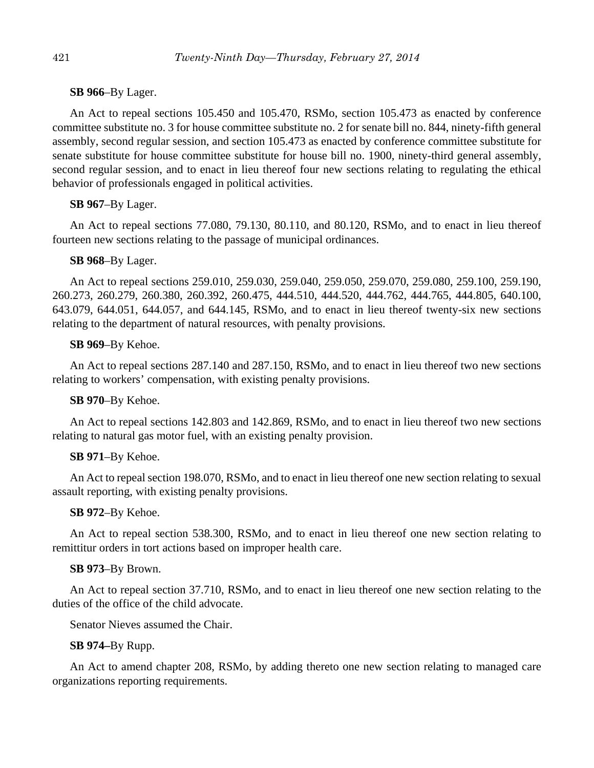## **SB 966**–By Lager.

An Act to repeal sections 105.450 and 105.470, RSMo, section 105.473 as enacted by conference committee substitute no. 3 for house committee substitute no. 2 for senate bill no. 844, ninety-fifth general assembly, second regular session, and section 105.473 as enacted by conference committee substitute for senate substitute for house committee substitute for house bill no. 1900, ninety-third general assembly, second regular session, and to enact in lieu thereof four new sections relating to regulating the ethical behavior of professionals engaged in political activities.

# **SB 967**–By Lager.

An Act to repeal sections 77.080, 79.130, 80.110, and 80.120, RSMo, and to enact in lieu thereof fourteen new sections relating to the passage of municipal ordinances.

## **SB 968**–By Lager.

An Act to repeal sections 259.010, 259.030, 259.040, 259.050, 259.070, 259.080, 259.100, 259.190, 260.273, 260.279, 260.380, 260.392, 260.475, 444.510, 444.520, 444.762, 444.765, 444.805, 640.100, 643.079, 644.051, 644.057, and 644.145, RSMo, and to enact in lieu thereof twenty-six new sections relating to the department of natural resources, with penalty provisions.

## **SB 969**–By Kehoe.

An Act to repeal sections 287.140 and 287.150, RSMo, and to enact in lieu thereof two new sections relating to workers' compensation, with existing penalty provisions.

# **SB 970**–By Kehoe.

An Act to repeal sections 142.803 and 142.869, RSMo, and to enact in lieu thereof two new sections relating to natural gas motor fuel, with an existing penalty provision.

# **SB 971**–By Kehoe.

An Act to repeal section 198.070, RSMo, and to enact in lieu thereof one new section relating to sexual assault reporting, with existing penalty provisions.

#### **SB 972**–By Kehoe.

An Act to repeal section 538.300, RSMo, and to enact in lieu thereof one new section relating to remittitur orders in tort actions based on improper health care.

#### **SB 973**–By Brown.

An Act to repeal section 37.710, RSMo, and to enact in lieu thereof one new section relating to the duties of the office of the child advocate.

Senator Nieves assumed the Chair.

# **SB 974–**By Rupp.

An Act to amend chapter 208, RSMo, by adding thereto one new section relating to managed care organizations reporting requirements.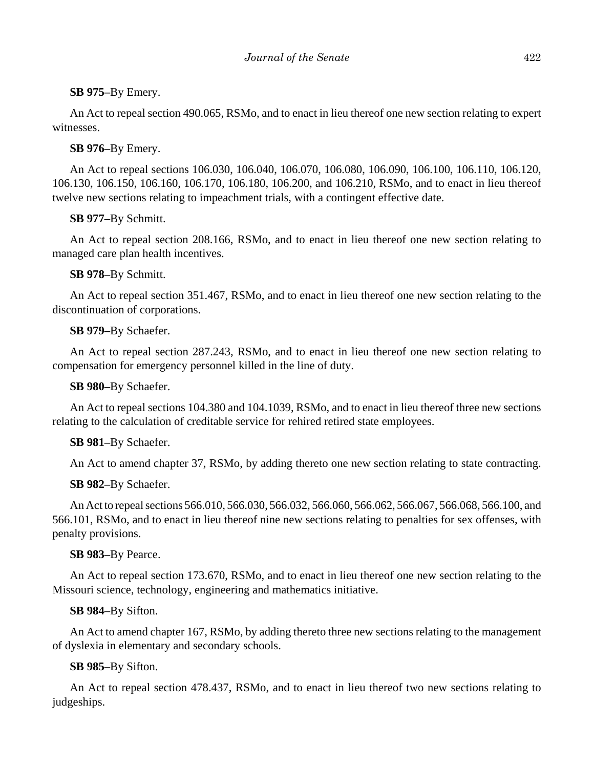# **SB 975–**By Emery.

An Act to repeal section 490.065, RSMo, and to enact in lieu thereof one new section relating to expert witnesses.

## **SB 976–**By Emery.

An Act to repeal sections 106.030, 106.040, 106.070, 106.080, 106.090, 106.100, 106.110, 106.120, 106.130, 106.150, 106.160, 106.170, 106.180, 106.200, and 106.210, RSMo, and to enact in lieu thereof twelve new sections relating to impeachment trials, with a contingent effective date.

# **SB 977–**By Schmitt.

An Act to repeal section 208.166, RSMo, and to enact in lieu thereof one new section relating to managed care plan health incentives.

## **SB 978–**By Schmitt.

An Act to repeal section 351.467, RSMo, and to enact in lieu thereof one new section relating to the discontinuation of corporations.

# **SB 979–**By Schaefer.

An Act to repeal section 287.243, RSMo, and to enact in lieu thereof one new section relating to compensation for emergency personnel killed in the line of duty.

#### **SB 980–**By Schaefer.

An Act to repeal sections 104.380 and 104.1039, RSMo, and to enact in lieu thereof three new sections relating to the calculation of creditable service for rehired retired state employees.

#### **SB 981–**By Schaefer.

An Act to amend chapter 37, RSMo, by adding thereto one new section relating to state contracting.

#### **SB 982–**By Schaefer.

An Act to repeal sections 566.010, 566.030, 566.032, 566.060, 566.062, 566.067, 566.068, 566.100, and 566.101, RSMo, and to enact in lieu thereof nine new sections relating to penalties for sex offenses, with penalty provisions.

#### **SB 983–**By Pearce.

An Act to repeal section 173.670, RSMo, and to enact in lieu thereof one new section relating to the Missouri science, technology, engineering and mathematics initiative.

#### **SB 984**–By Sifton.

An Act to amend chapter 167, RSMo, by adding thereto three new sections relating to the management of dyslexia in elementary and secondary schools.

# **SB 985**–By Sifton.

An Act to repeal section 478.437, RSMo, and to enact in lieu thereof two new sections relating to judgeships.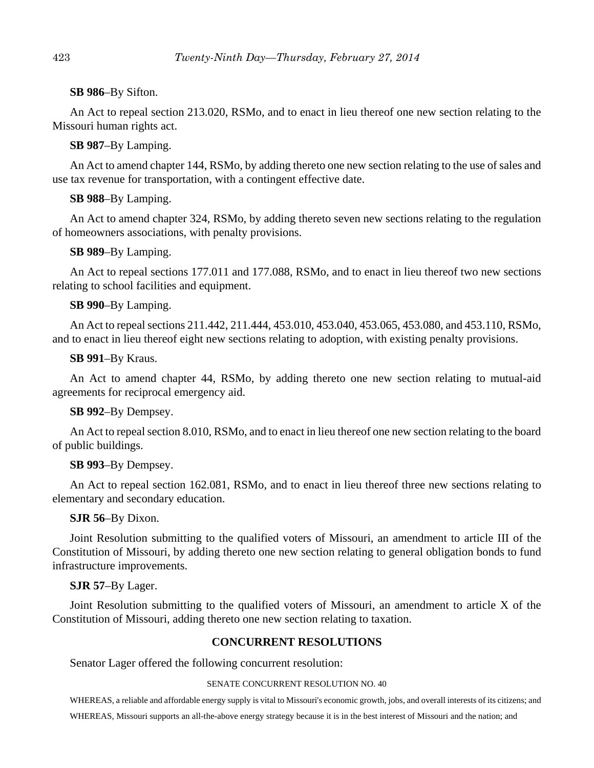#### **SB 986**–By Sifton.

An Act to repeal section 213.020, RSMo, and to enact in lieu thereof one new section relating to the Missouri human rights act.

## **SB 987**–By Lamping.

An Act to amend chapter 144, RSMo, by adding thereto one new section relating to the use of sales and use tax revenue for transportation, with a contingent effective date.

# **SB 988**–By Lamping.

An Act to amend chapter 324, RSMo, by adding thereto seven new sections relating to the regulation of homeowners associations, with penalty provisions.

## **SB 989**–By Lamping.

An Act to repeal sections 177.011 and 177.088, RSMo, and to enact in lieu thereof two new sections relating to school facilities and equipment.

## **SB 990**–By Lamping.

An Act to repeal sections 211.442, 211.444, 453.010, 453.040, 453.065, 453.080, and 453.110, RSMo, and to enact in lieu thereof eight new sections relating to adoption, with existing penalty provisions.

#### **SB 991**–By Kraus.

An Act to amend chapter 44, RSMo, by adding thereto one new section relating to mutual-aid agreements for reciprocal emergency aid.

#### **SB 992**–By Dempsey.

An Act to repeal section 8.010, RSMo, and to enact in lieu thereof one new section relating to the board of public buildings.

#### **SB 993**–By Dempsey.

An Act to repeal section 162.081, RSMo, and to enact in lieu thereof three new sections relating to elementary and secondary education.

#### **SJR 56**–By Dixon.

Joint Resolution submitting to the qualified voters of Missouri, an amendment to article III of the Constitution of Missouri, by adding thereto one new section relating to general obligation bonds to fund infrastructure improvements.

#### **SJR 57**–By Lager.

Joint Resolution submitting to the qualified voters of Missouri, an amendment to article X of the Constitution of Missouri, adding thereto one new section relating to taxation.

# **CONCURRENT RESOLUTIONS**

Senator Lager offered the following concurrent resolution:

#### SENATE CONCURRENT RESOLUTION NO. 40

WHEREAS, a reliable and affordable energy supply is vital to Missouri's economic growth, jobs, and overall interests of its citizens; and WHEREAS, Missouri supports an all-the-above energy strategy because it is in the best interest of Missouri and the nation; and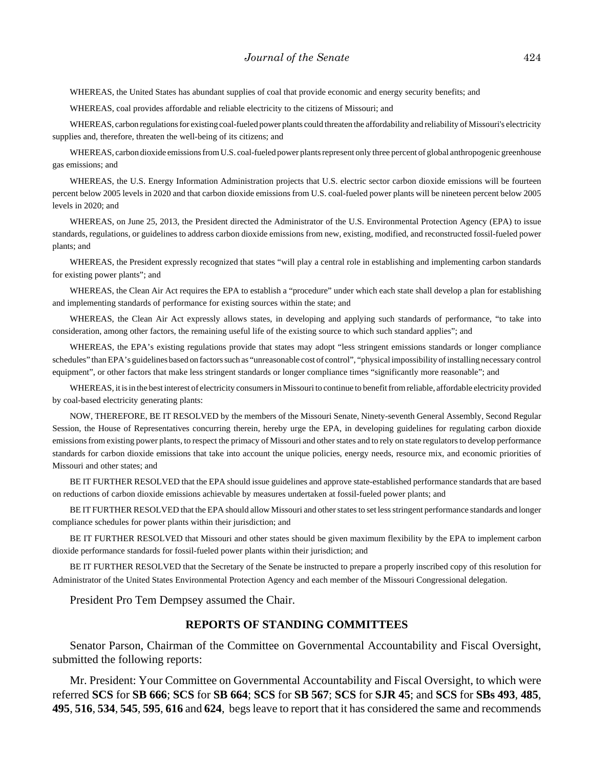WHEREAS, the United States has abundant supplies of coal that provide economic and energy security benefits; and

WHEREAS, coal provides affordable and reliable electricity to the citizens of Missouri; and

WHEREAS, carbon regulations for existing coal-fueled power plants could threaten the affordability and reliability of Missouri's electricity supplies and, therefore, threaten the well-being of its citizens; and

WHEREAS, carbon dioxide emissions from U.S. coal-fueled power plants represent only three percent of global anthropogenic greenhouse gas emissions; and

WHEREAS, the U.S. Energy Information Administration projects that U.S. electric sector carbon dioxide emissions will be fourteen percent below 2005 levels in 2020 and that carbon dioxide emissions from U.S. coal-fueled power plants will be nineteen percent below 2005 levels in 2020; and

WHEREAS, on June 25, 2013, the President directed the Administrator of the U.S. Environmental Protection Agency (EPA) to issue standards, regulations, or guidelines to address carbon dioxide emissions from new, existing, modified, and reconstructed fossil-fueled power plants; and

WHEREAS, the President expressly recognized that states "will play a central role in establishing and implementing carbon standards for existing power plants"; and

WHEREAS, the Clean Air Act requires the EPA to establish a "procedure" under which each state shall develop a plan for establishing and implementing standards of performance for existing sources within the state; and

WHEREAS, the Clean Air Act expressly allows states, in developing and applying such standards of performance, "to take into consideration, among other factors, the remaining useful life of the existing source to which such standard applies"; and

WHEREAS, the EPA's existing regulations provide that states may adopt "less stringent emissions standards or longer compliance schedules" than EPA's guidelines based on factors such as "unreasonable cost of control", "physical impossibility of installing necessary control equipment", or other factors that make less stringent standards or longer compliance times "significantly more reasonable"; and

WHEREAS, it is in the best interest of electricity consumers in Missouri to continue to benefit from reliable, affordable electricity provided by coal-based electricity generating plants:

NOW, THEREFORE, BE IT RESOLVED by the members of the Missouri Senate, Ninety-seventh General Assembly, Second Regular Session, the House of Representatives concurring therein, hereby urge the EPA, in developing guidelines for regulating carbon dioxide emissions from existing power plants, to respect the primacy of Missouri and other states and to rely on state regulators to develop performance standards for carbon dioxide emissions that take into account the unique policies, energy needs, resource mix, and economic priorities of Missouri and other states; and

BE IT FURTHER RESOLVED that the EPA should issue guidelines and approve state-established performance standards that are based on reductions of carbon dioxide emissions achievable by measures undertaken at fossil-fueled power plants; and

BE IT FURTHER RESOLVED that the EPA should allow Missouri and other states to set less stringent performance standards and longer compliance schedules for power plants within their jurisdiction; and

BE IT FURTHER RESOLVED that Missouri and other states should be given maximum flexibility by the EPA to implement carbon dioxide performance standards for fossil-fueled power plants within their jurisdiction; and

BE IT FURTHER RESOLVED that the Secretary of the Senate be instructed to prepare a properly inscribed copy of this resolution for Administrator of the United States Environmental Protection Agency and each member of the Missouri Congressional delegation.

President Pro Tem Dempsey assumed the Chair.

#### **REPORTS OF STANDING COMMITTEES**

Senator Parson, Chairman of the Committee on Governmental Accountability and Fiscal Oversight, submitted the following reports:

Mr. President: Your Committee on Governmental Accountability and Fiscal Oversight, to which were referred **SCS** for **SB 666**; **SCS** for **SB 664**; **SCS** for **SB 567**; **SCS** for **SJR 45**; and **SCS** for **SBs 493**, **485**, **495**, **516**, **534**, **545**, **595**, **616** and **624**, begs leave to report that it has considered the same and recommends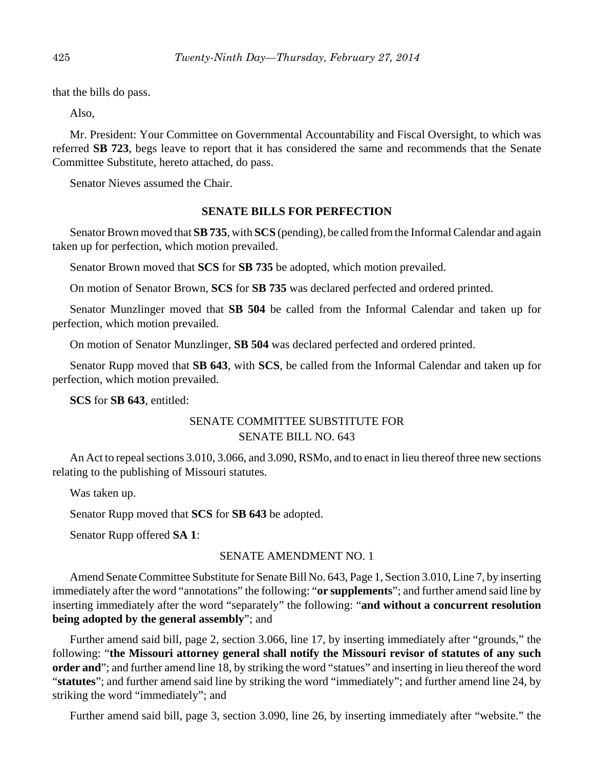that the bills do pass.

Also,

Mr. President: Your Committee on Governmental Accountability and Fiscal Oversight, to which was referred **SB 723**, begs leave to report that it has considered the same and recommends that the Senate Committee Substitute, hereto attached, do pass.

Senator Nieves assumed the Chair.

## **SENATE BILLS FOR PERFECTION**

Senator Brown moved that **SB 735**, with **SCS** (pending), be called from the Informal Calendar and again taken up for perfection, which motion prevailed.

Senator Brown moved that **SCS** for **SB 735** be adopted, which motion prevailed.

On motion of Senator Brown, **SCS** for **SB 735** was declared perfected and ordered printed.

Senator Munzlinger moved that **SB 504** be called from the Informal Calendar and taken up for perfection, which motion prevailed.

On motion of Senator Munzlinger, **SB 504** was declared perfected and ordered printed.

Senator Rupp moved that **SB 643**, with **SCS**, be called from the Informal Calendar and taken up for perfection, which motion prevailed.

**SCS** for **SB 643**, entitled:

# SENATE COMMITTEE SUBSTITUTE FOR SENATE BILL NO. 643

An Act to repeal sections 3.010, 3.066, and 3.090, RSMo, and to enact in lieu thereof three new sections relating to the publishing of Missouri statutes.

Was taken up.

Senator Rupp moved that **SCS** for **SB 643** be adopted.

Senator Rupp offered **SA 1**:

#### SENATE AMENDMENT NO. 1

Amend Senate Committee Substitute for Senate Bill No. 643, Page 1, Section 3.010, Line 7, by inserting immediately after the word "annotations" the following: "**or supplements**"; and further amend said line by inserting immediately after the word "separately" the following: "**and without a concurrent resolution being adopted by the general assembly**"; and

Further amend said bill, page 2, section 3.066, line 17, by inserting immediately after "grounds," the following: "**the Missouri attorney general shall notify the Missouri revisor of statutes of any such order and**"; and further amend line 18, by striking the word "statues" and inserting in lieu thereof the word "**statutes**"; and further amend said line by striking the word "immediately"; and further amend line 24, by striking the word "immediately"; and

Further amend said bill, page 3, section 3.090, line 26, by inserting immediately after "website." the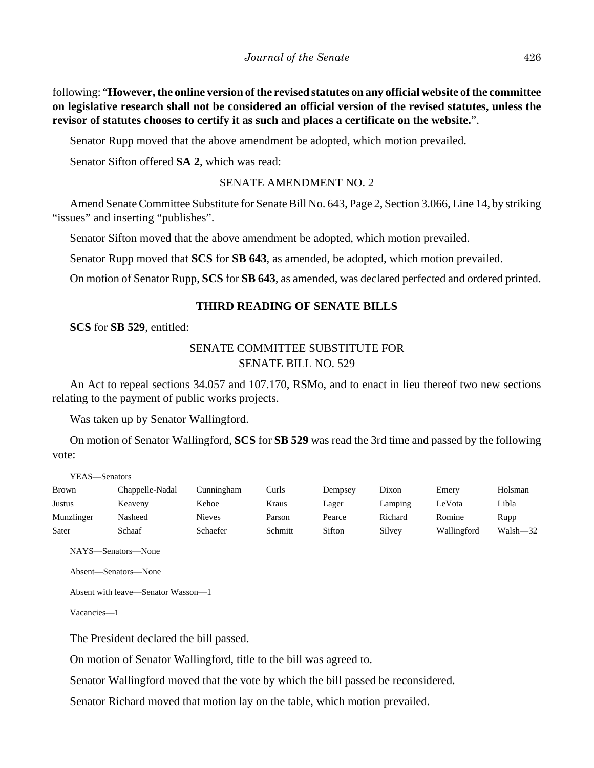following: "**However, the online version of the revised statutes on any official website of the committee on legislative research shall not be considered an official version of the revised statutes, unless the revisor of statutes chooses to certify it as such and places a certificate on the website.**".

Senator Rupp moved that the above amendment be adopted, which motion prevailed.

Senator Sifton offered **SA 2**, which was read:

# SENATE AMENDMENT NO. 2

Amend Senate Committee Substitute for Senate Bill No. 643, Page 2, Section 3.066, Line 14, by striking "issues" and inserting "publishes".

Senator Sifton moved that the above amendment be adopted, which motion prevailed.

Senator Rupp moved that **SCS** for **SB 643**, as amended, be adopted, which motion prevailed.

On motion of Senator Rupp, **SCS** for **SB 643**, as amended, was declared perfected and ordered printed.

# **THIRD READING OF SENATE BILLS**

**SCS** for **SB 529**, entitled:

# SENATE COMMITTEE SUBSTITUTE FOR SENATE BILL NO. 529

An Act to repeal sections 34.057 and 107.170, RSMo, and to enact in lieu thereof two new sections relating to the payment of public works projects.

Was taken up by Senator Wallingford.

On motion of Senator Wallingford, **SCS** for **SB 529** was read the 3rd time and passed by the following vote:

YEAS—Senators

| <b>Brown</b> | Chappelle-Nadal | Cunningham    | Curls   | Dempsey | Dixon   | Emery       | Holsman  |
|--------------|-----------------|---------------|---------|---------|---------|-------------|----------|
| Justus       | Keaveny         | Kehoe         | Kraus   | Lager   | Lamping | LeVota      | Libla    |
| Munzlinger   | Nasheed         | <b>Nieves</b> | Parson  | Pearce  | Richard | Romine      | Rupp     |
| Sater        | Schaaf          | Schaefer      | Schmitt | Sifton  | Silvey  | Wallingford | Walsh-32 |

NAYS—Senators—None

Absent—Senators—None

Absent with leave—Senator Wasson—1

Vacancies—1

The President declared the bill passed.

On motion of Senator Wallingford, title to the bill was agreed to.

Senator Wallingford moved that the vote by which the bill passed be reconsidered.

Senator Richard moved that motion lay on the table, which motion prevailed.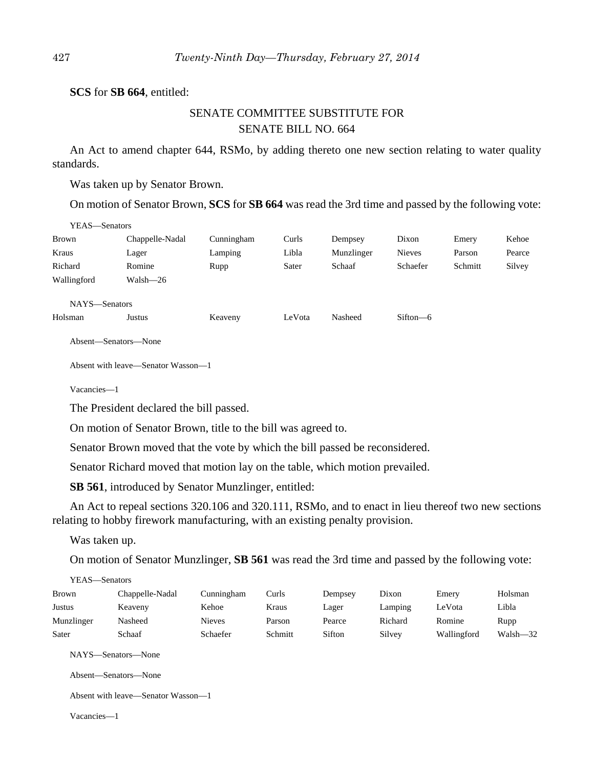**SCS** for **SB 664**, entitled:

# SENATE COMMITTEE SUBSTITUTE FOR SENATE BILL NO. 664

An Act to amend chapter 644, RSMo, by adding thereto one new section relating to water quality standards.

Was taken up by Senator Brown.

On motion of Senator Brown, **SCS** for **SB 664** was read the 3rd time and passed by the following vote:

| YEAS—Senators |                 |            |                       |                                                     |                                                 |         |        |
|---------------|-----------------|------------|-----------------------|-----------------------------------------------------|-------------------------------------------------|---------|--------|
| Brown         | Chappelle-Nadal | Cunningham | Curls                 | Dempsey                                             | Dixon                                           | Emery   | Kehoe  |
| Kraus         | Lager           | Lamping    | Libla                 | Munzlinger                                          | <b>Nieves</b>                                   | Parson  | Pearce |
| Richard       | Romine          | Rupp       | Sater                 | Schaaf                                              | Schaefer                                        | Schmitt | Silvey |
| Wallingford   | Walsh-26        |            |                       |                                                     |                                                 |         |        |
| NAYS-Senators |                 |            |                       |                                                     |                                                 |         |        |
| TT 1          |                 | <b>TT</b>  | <b>T T</b> <i>T</i> . | $\mathbf{M}$ $\mathbf{I}$ $\mathbf{I}$ $\mathbf{I}$ | $\alpha$ . $\alpha$<br>$\overline{\phantom{a}}$ |         |        |

Holsman Justus Keaveny LeVota Nasheed Sifton—6

Absent—Senators—None

Absent with leave—Senator Wasson—1

Vacancies—1

The President declared the bill passed.

On motion of Senator Brown, title to the bill was agreed to.

Senator Brown moved that the vote by which the bill passed be reconsidered.

Senator Richard moved that motion lay on the table, which motion prevailed.

**SB 561**, introduced by Senator Munzlinger, entitled:

An Act to repeal sections 320.106 and 320.111, RSMo, and to enact in lieu thereof two new sections relating to hobby firework manufacturing, with an existing penalty provision.

Was taken up.

On motion of Senator Munzlinger, **SB 561** was read the 3rd time and passed by the following vote:

| YEAS—Senators |                 |               |         |         |         |             |          |
|---------------|-----------------|---------------|---------|---------|---------|-------------|----------|
| <b>Brown</b>  | Chappelle-Nadal | Cunningham    | Curls   | Dempsey | Dixon   | Emery       | Holsman  |
| Justus        | Keaveny         | Kehoe         | Kraus   | Lager   | Lamping | LeVota      | Libla    |
| Munzlinger    | Nasheed         | <b>Nieves</b> | Parson  | Pearce  | Richard | Romine      | Rupp     |
| Sater         | Schaaf          | Schaefer      | Schmitt | Sifton  | Silvey  | Wallingford | Walsh-32 |

NAYS—Senators—None

Absent—Senators—None

Absent with leave—Senator Wasson—1

Vacancies—1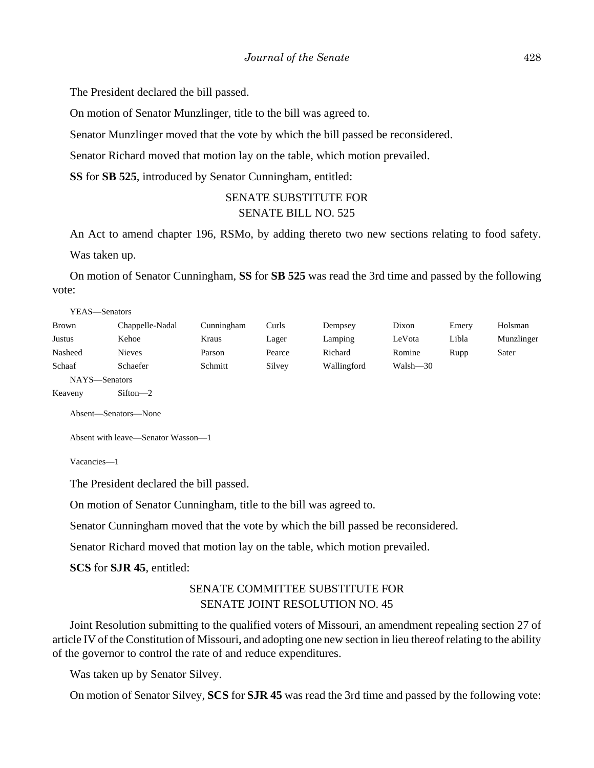The President declared the bill passed.

On motion of Senator Munzlinger, title to the bill was agreed to.

Senator Munzlinger moved that the vote by which the bill passed be reconsidered.

Senator Richard moved that motion lay on the table, which motion prevailed.

**SS** for **SB 525**, introduced by Senator Cunningham, entitled:

# SENATE SUBSTITUTE FOR SENATE BILL NO. 525

An Act to amend chapter 196, RSMo, by adding thereto two new sections relating to food safety. Was taken up.

On motion of Senator Cunningham, **SS** for **SB 525** was read the 3rd time and passed by the following vote:

| YEAS—Senators |                 |            |        |             |          |       |            |
|---------------|-----------------|------------|--------|-------------|----------|-------|------------|
| <b>Brown</b>  | Chappelle-Nadal | Cunningham | Curls  | Dempsey     | Dixon    | Emery | Holsman    |
| Justus        | Kehoe           | Kraus      | Lager  | Lamping     | LeVota   | Libla | Munzlinger |
| Nasheed       | <b>Nieves</b>   | Parson     | Pearce | Richard     | Romine   | Rupp  | Sater      |
| Schaaf        | Schaefer        | Schmitt    | Silvey | Wallingford | Walsh-30 |       |            |
| NAYS—Senators |                 |            |        |             |          |       |            |
| Keaveny       | $Sifton -2$     |            |        |             |          |       |            |

Absent—Senators—None

Absent with leave—Senator Wasson—1

Vacancies—1

The President declared the bill passed.

On motion of Senator Cunningham, title to the bill was agreed to.

Senator Cunningham moved that the vote by which the bill passed be reconsidered.

Senator Richard moved that motion lay on the table, which motion prevailed.

**SCS** for **SJR 45**, entitled:

# SENATE COMMITTEE SUBSTITUTE FOR SENATE JOINT RESOLUTION NO. 45

Joint Resolution submitting to the qualified voters of Missouri, an amendment repealing section 27 of article IV of the Constitution of Missouri, and adopting one new section in lieu thereof relating to the ability of the governor to control the rate of and reduce expenditures.

Was taken up by Senator Silvey.

On motion of Senator Silvey, **SCS** for **SJR 45** was read the 3rd time and passed by the following vote: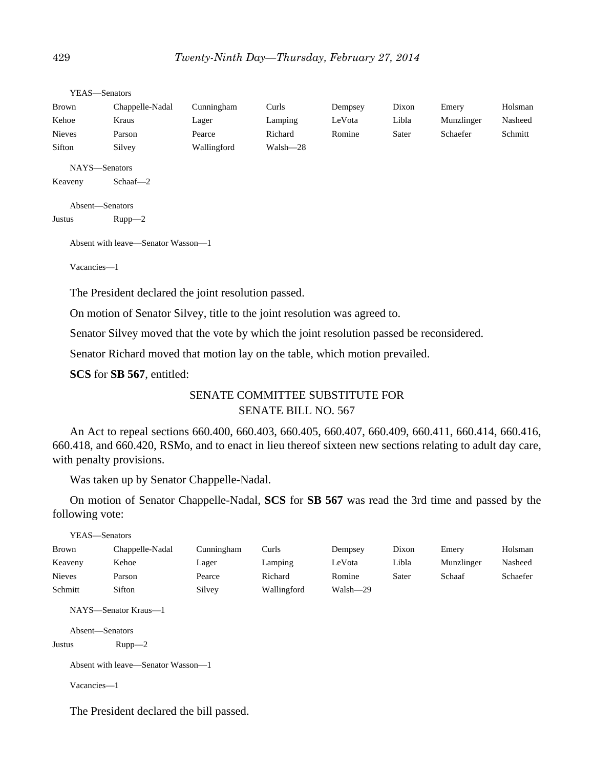YEAS—Senators Brown Chappelle-Nadal Cunningham Curls Dempsey Dixon Emery Holsman Kehoe Kraus Lager Lamping LeVota Libla Munzlinger Nasheed Nieves Parson Pearce Richard Romine Sater Schaefer Schmitt Sifton Silvey Wallingford Walsh—28 NAYS—Senators Keaveny Schaaf—2

```
Absent—Senators
Justus Rupp—2
```
Absent with leave—Senator Wasson—1

Vacancies—1

The President declared the joint resolution passed.

On motion of Senator Silvey, title to the joint resolution was agreed to.

Senator Silvey moved that the vote by which the joint resolution passed be reconsidered.

Senator Richard moved that motion lay on the table, which motion prevailed.

**SCS** for **SB 567**, entitled:

# SENATE COMMITTEE SUBSTITUTE FOR SENATE BILL NO. 567

An Act to repeal sections 660.400, 660.403, 660.405, 660.407, 660.409, 660.411, 660.414, 660.416, 660.418, and 660.420, RSMo, and to enact in lieu thereof sixteen new sections relating to adult day care, with penalty provisions.

Was taken up by Senator Chappelle-Nadal.

On motion of Senator Chappelle-Nadal, **SCS** for **SB 567** was read the 3rd time and passed by the following vote:

| YEAS—Senators   |                                    |            |             |          |       |            |          |
|-----------------|------------------------------------|------------|-------------|----------|-------|------------|----------|
| Brown           | Chappelle-Nadal                    | Cunningham | Curls       | Dempsey  | Dixon | Emery      | Holsman  |
| Keaveny         | Kehoe                              | Lager      | Lamping     | LeVota   | Libla | Munzlinger | Nasheed  |
| <b>Nieves</b>   | Parson                             | Pearce     | Richard     | Romine   | Sater | Schaaf     | Schaefer |
| Schmitt         | Sifton                             | Silvey     | Wallingford | Walsh-29 |       |            |          |
|                 | NAYS—Senator Kraus—1               |            |             |          |       |            |          |
| Absent—Senators |                                    |            |             |          |       |            |          |
| Justus          | $Rupp-2$                           |            |             |          |       |            |          |
|                 | Absent with leave—Senator Wasson—1 |            |             |          |       |            |          |

Vacancies—1

The President declared the bill passed.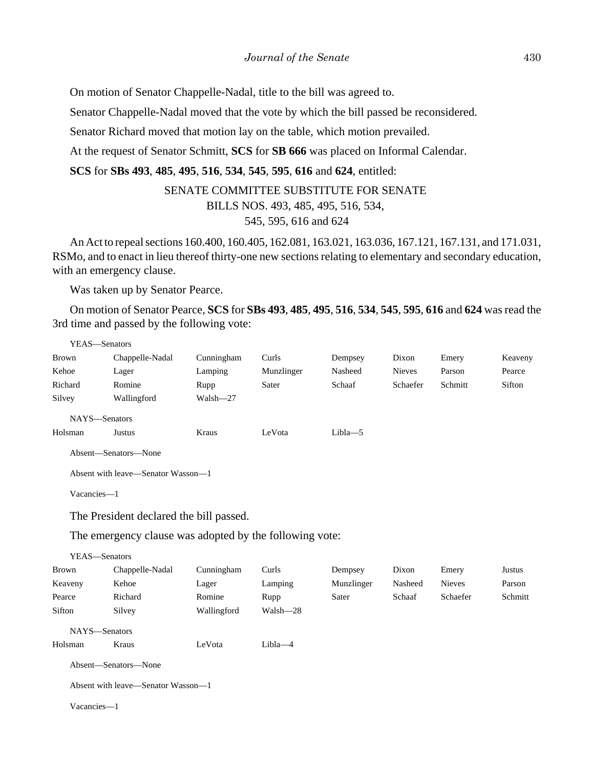On motion of Senator Chappelle-Nadal, title to the bill was agreed to.

Senator Chappelle-Nadal moved that the vote by which the bill passed be reconsidered.

Senator Richard moved that motion lay on the table, which motion prevailed.

At the request of Senator Schmitt, **SCS** for **SB 666** was placed on Informal Calendar.

**SCS** for **SBs 493**, **485**, **495**, **516**, **534**, **545**, **595**, **616** and **624**, entitled:

# SENATE COMMITTEE SUBSTITUTE FOR SENATE

BILLS NOS. 493, 485, 495, 516, 534,

## 545, 595, 616 and 624

An Act to repeal sections 160.400, 160.405, 162.081, 163.021, 163.036, 167.121, 167.131, and 171.031, RSMo, and to enact in lieu thereof thirty-one new sections relating to elementary and secondary education, with an emergency clause.

Was taken up by Senator Pearce.

On motion of Senator Pearce, **SCS** for **SBs 493**, **485**, **495**, **516**, **534**, **545**, **595**, **616** and **624** was read the 3rd time and passed by the following vote:

| YEAS—Senators |                                    |            |            |            |               |         |         |
|---------------|------------------------------------|------------|------------|------------|---------------|---------|---------|
| Brown         | Chappelle-Nadal                    | Cunningham | Curls      | Dempsey    | Dixon         | Emery   | Keaveny |
| Kehoe         | Lager                              | Lamping    | Munzlinger | Nasheed    | <b>Nieves</b> | Parson  | Pearce  |
| Richard       | Romine                             | Rupp       | Sater      | Schaaf     | Schaefer      | Schmitt | Sifton  |
| Silvey        | Wallingford                        | Walsh-27   |            |            |               |         |         |
| NAYS-Senators |                                    |            |            |            |               |         |         |
| Holsman       | Justus                             | Kraus      | LeVota     | $Libla$ -5 |               |         |         |
|               | Absent-Senators-None               |            |            |            |               |         |         |
|               | Absent with leave—Senator Wasson—1 |            |            |            |               |         |         |
| Vacancies-1   |                                    |            |            |            |               |         |         |
|               |                                    |            |            |            |               |         |         |

The President declared the bill passed.

The emergency clause was adopted by the following vote:

| YEAS- | —Senators |
|-------|-----------|
|-------|-----------|

| Brown         | Chappelle-Nadal                    | Cunningham  | Curls       | Dempsey    | Dixon   | Emery         | Justus  |
|---------------|------------------------------------|-------------|-------------|------------|---------|---------------|---------|
| Keaveny       | Kehoe                              | Lager       | Lamping     | Munzlinger | Nasheed | <b>Nieves</b> | Parson  |
| Pearce        | Richard                            | Romine      | Rupp        | Sater      | Schaaf  | Schaefer      | Schmitt |
| Sifton        | Silvey                             | Wallingford | Walsh-28    |            |         |               |         |
| NAYS-Senators |                                    |             |             |            |         |               |         |
| Holsman       | Kraus                              | LeVota      | $Libla - 4$ |            |         |               |         |
|               | Absent—Senators—None               |             |             |            |         |               |         |
|               | Absent with leave—Senator Wasson—1 |             |             |            |         |               |         |
| Vacancies-1   |                                    |             |             |            |         |               |         |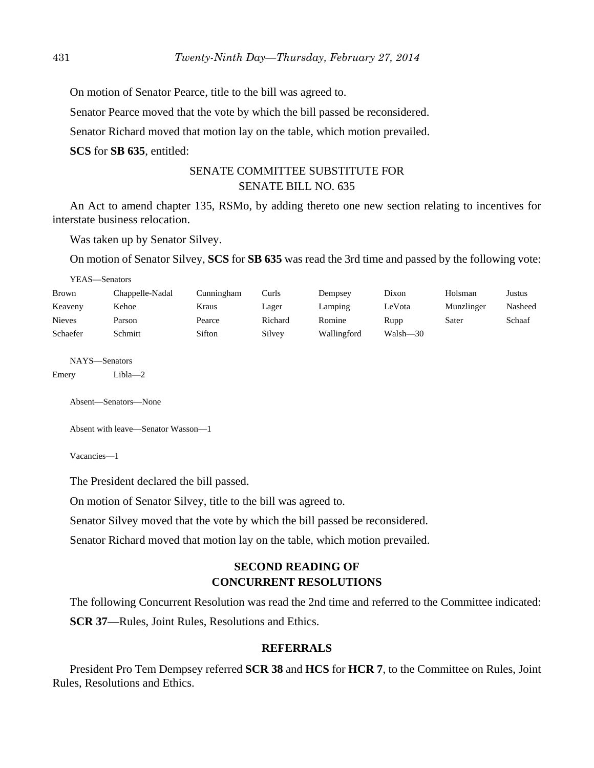On motion of Senator Pearce, title to the bill was agreed to. Senator Pearce moved that the vote by which the bill passed be reconsidered. Senator Richard moved that motion lay on the table, which motion prevailed. **SCS** for **SB 635**, entitled:

# SENATE COMMITTEE SUBSTITUTE FOR SENATE BILL NO. 635

An Act to amend chapter 135, RSMo, by adding thereto one new section relating to incentives for interstate business relocation.

Was taken up by Senator Silvey.

On motion of Senator Silvey, **SCS** for **SB 635** was read the 3rd time and passed by the following vote:

|               | YEAS—Senators   |            |         |             |          |            |         |  |  |
|---------------|-----------------|------------|---------|-------------|----------|------------|---------|--|--|
| Brown         | Chappelle-Nadal | Cunningham | Curls   | Dempsey     | Dixon    | Holsman    | Justus  |  |  |
| Keaveny       | Kehoe           | Kraus      | Lager   | Lamping     | LeVota   | Munzlinger | Nasheed |  |  |
| <b>Nieves</b> | Parson          | Pearce     | Richard | Romine      | Rupp     | Sater      | Schaaf  |  |  |
| Schaefer      | Schmitt         | Sifton     | Silvey  | Wallingford | Walsh—30 |            |         |  |  |

NAYS—Senators

Emery Libla—2

Absent—Senators—None

```
Absent with leave—Senator Wasson—1
```
Vacancies—1

The President declared the bill passed.

On motion of Senator Silvey, title to the bill was agreed to.

Senator Silvey moved that the vote by which the bill passed be reconsidered.

Senator Richard moved that motion lay on the table, which motion prevailed.

# **SECOND READING OF CONCURRENT RESOLUTIONS**

The following Concurrent Resolution was read the 2nd time and referred to the Committee indicated: **SCR 37**—Rules, Joint Rules, Resolutions and Ethics.

#### **REFERRALS**

President Pro Tem Dempsey referred **SCR 38** and **HCS** for **HCR 7**, to the Committee on Rules, Joint Rules, Resolutions and Ethics.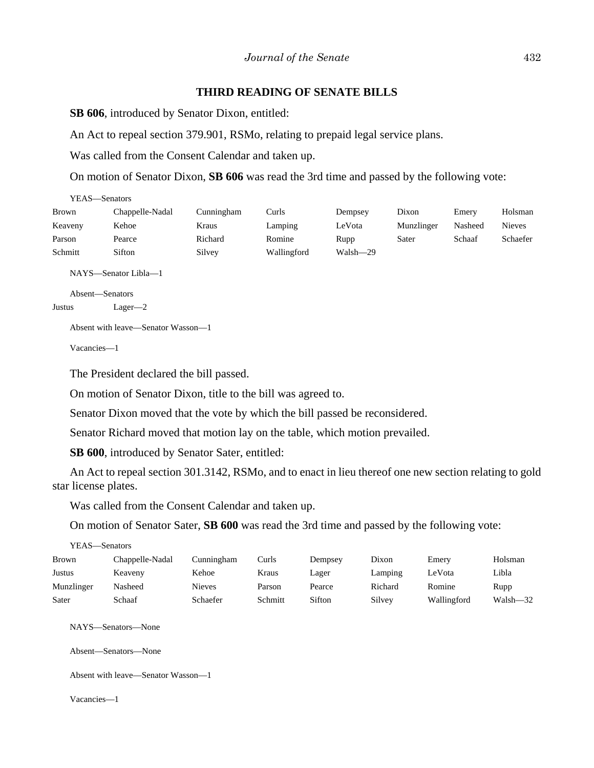#### **THIRD READING OF SENATE BILLS**

**SB 606**, introduced by Senator Dixon, entitled:

An Act to repeal section 379.901, RSMo, relating to prepaid legal service plans.

Was called from the Consent Calendar and taken up.

On motion of Senator Dixon, **SB 606** was read the 3rd time and passed by the following vote:

| YEAS—Senators |                 |            |             |          |            |         |          |
|---------------|-----------------|------------|-------------|----------|------------|---------|----------|
| <b>Brown</b>  | Chappelle-Nadal | Cunningham | Curls       | Dempsey  | Dixon      | Emery   | Holsman  |
| Keaveny       | Kehoe           | Kraus      | Lamping     | LeVota   | Munzlinger | Nasheed | Nieves   |
| Parson        | Pearce          | Richard    | Romine      | Rupp     | Sater      | Schaaf  | Schaefer |
| Schmitt       | Sifton          | Silvey     | Wallingford | Walsh-29 |            |         |          |
|               |                 |            |             |          |            |         |          |

NAYS—Senator Libla—1

Absent—Senators Justus Lager—2

Absent with leave—Senator Wasson—1

Vacancies—1

The President declared the bill passed.

On motion of Senator Dixon, title to the bill was agreed to.

Senator Dixon moved that the vote by which the bill passed be reconsidered.

Senator Richard moved that motion lay on the table, which motion prevailed.

**SB 600**, introduced by Senator Sater, entitled:

An Act to repeal section 301.3142, RSMo, and to enact in lieu thereof one new section relating to gold star license plates.

Was called from the Consent Calendar and taken up.

On motion of Senator Sater, **SB 600** was read the 3rd time and passed by the following vote:

| YEAS—Senators                              |                                    |               |         |         |         |             |              |
|--------------------------------------------|------------------------------------|---------------|---------|---------|---------|-------------|--------------|
| Brown                                      | Chappelle-Nadal                    | Cunningham    | Curls   | Dempsey | Dixon   | Emery       | Holsman      |
| Justus                                     | Keaveny                            | Kehoe         | Kraus   | Lager   | Lamping | LeVota      | Libla        |
| Munzlinger                                 | Nasheed                            | <b>Nieves</b> | Parson  | Pearce  | Richard | Romine      | Rupp         |
| Sater                                      | Schaaf                             | Schaefer      | Schmitt | Sifton  | Silvey  | Wallingford | $Walsh - 32$ |
| NAYS—Senators—None<br>Absent—Senators—None |                                    |               |         |         |         |             |              |
|                                            | Absent with leave—Senator Wasson—1 |               |         |         |         |             |              |

Vacancies—1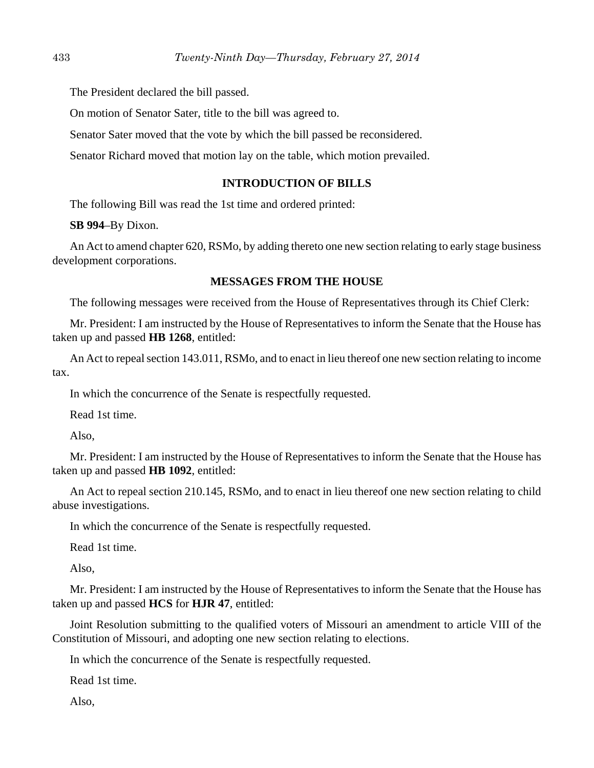The President declared the bill passed.

On motion of Senator Sater, title to the bill was agreed to.

Senator Sater moved that the vote by which the bill passed be reconsidered.

Senator Richard moved that motion lay on the table, which motion prevailed.

# **INTRODUCTION OF BILLS**

The following Bill was read the 1st time and ordered printed:

**SB 994**–By Dixon.

An Act to amend chapter 620, RSMo, by adding thereto one new section relating to early stage business development corporations.

#### **MESSAGES FROM THE HOUSE**

The following messages were received from the House of Representatives through its Chief Clerk:

Mr. President: I am instructed by the House of Representatives to inform the Senate that the House has taken up and passed **HB 1268**, entitled:

An Act to repeal section 143.011, RSMo, and to enact in lieu thereof one new section relating to income tax.

In which the concurrence of the Senate is respectfully requested.

Read 1st time.

Also,

Mr. President: I am instructed by the House of Representatives to inform the Senate that the House has taken up and passed **HB 1092**, entitled:

An Act to repeal section 210.145, RSMo, and to enact in lieu thereof one new section relating to child abuse investigations.

In which the concurrence of the Senate is respectfully requested.

Read 1st time.

Also,

Mr. President: I am instructed by the House of Representatives to inform the Senate that the House has taken up and passed **HCS** for **HJR 47**, entitled:

Joint Resolution submitting to the qualified voters of Missouri an amendment to article VIII of the Constitution of Missouri, and adopting one new section relating to elections.

In which the concurrence of the Senate is respectfully requested.

Read 1st time.

Also,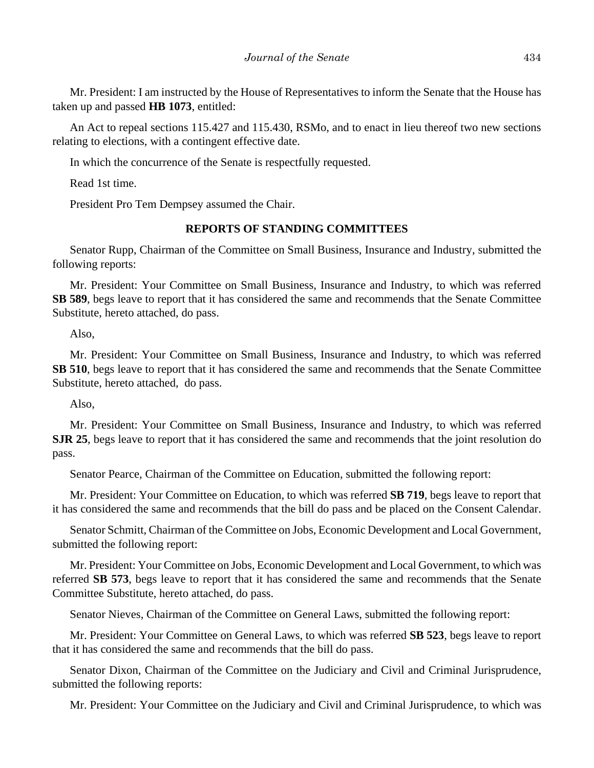Mr. President: I am instructed by the House of Representatives to inform the Senate that the House has taken up and passed **HB 1073**, entitled:

An Act to repeal sections 115.427 and 115.430, RSMo, and to enact in lieu thereof two new sections relating to elections, with a contingent effective date.

In which the concurrence of the Senate is respectfully requested.

Read 1st time.

President Pro Tem Dempsey assumed the Chair.

## **REPORTS OF STANDING COMMITTEES**

Senator Rupp, Chairman of the Committee on Small Business, Insurance and Industry, submitted the following reports:

Mr. President: Your Committee on Small Business, Insurance and Industry, to which was referred **SB 589**, begs leave to report that it has considered the same and recommends that the Senate Committee Substitute, hereto attached, do pass.

Also,

Mr. President: Your Committee on Small Business, Insurance and Industry, to which was referred **SB 510**, begs leave to report that it has considered the same and recommends that the Senate Committee Substitute, hereto attached, do pass.

Also,

Mr. President: Your Committee on Small Business, Insurance and Industry, to which was referred **SJR 25**, begs leave to report that it has considered the same and recommends that the joint resolution do pass.

Senator Pearce, Chairman of the Committee on Education, submitted the following report:

Mr. President: Your Committee on Education, to which was referred **SB 719**, begs leave to report that it has considered the same and recommends that the bill do pass and be placed on the Consent Calendar.

Senator Schmitt, Chairman of the Committee on Jobs, Economic Development and Local Government, submitted the following report:

Mr. President: Your Committee on Jobs, Economic Development and Local Government, to which was referred **SB 573**, begs leave to report that it has considered the same and recommends that the Senate Committee Substitute, hereto attached, do pass.

Senator Nieves, Chairman of the Committee on General Laws, submitted the following report:

Mr. President: Your Committee on General Laws, to which was referred **SB 523**, begs leave to report that it has considered the same and recommends that the bill do pass.

Senator Dixon, Chairman of the Committee on the Judiciary and Civil and Criminal Jurisprudence, submitted the following reports:

Mr. President: Your Committee on the Judiciary and Civil and Criminal Jurisprudence, to which was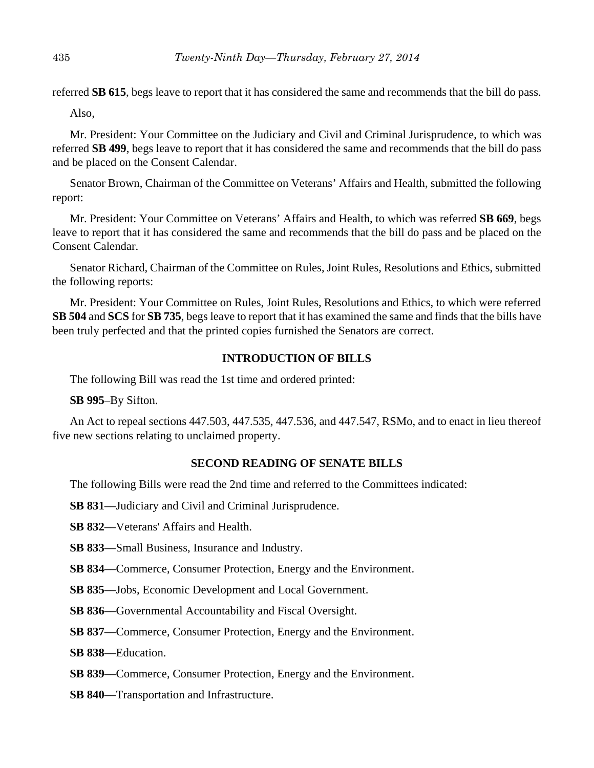referred **SB 615**, begs leave to report that it has considered the same and recommends that the bill do pass.

Also,

Mr. President: Your Committee on the Judiciary and Civil and Criminal Jurisprudence, to which was referred **SB 499**, begs leave to report that it has considered the same and recommends that the bill do pass and be placed on the Consent Calendar.

Senator Brown, Chairman of the Committee on Veterans' Affairs and Health, submitted the following report:

Mr. President: Your Committee on Veterans' Affairs and Health, to which was referred **SB 669**, begs leave to report that it has considered the same and recommends that the bill do pass and be placed on the Consent Calendar.

Senator Richard, Chairman of the Committee on Rules, Joint Rules, Resolutions and Ethics, submitted the following reports:

Mr. President: Your Committee on Rules, Joint Rules, Resolutions and Ethics, to which were referred **SB 504** and **SCS** for **SB 735**, begs leave to report that it has examined the same and finds that the bills have been truly perfected and that the printed copies furnished the Senators are correct.

# **INTRODUCTION OF BILLS**

The following Bill was read the 1st time and ordered printed:

**SB 995**–By Sifton.

An Act to repeal sections 447.503, 447.535, 447.536, and 447.547, RSMo, and to enact in lieu thereof five new sections relating to unclaimed property.

# **SECOND READING OF SENATE BILLS**

The following Bills were read the 2nd time and referred to the Committees indicated:

- **SB 831**––Judiciary and Civil and Criminal Jurisprudence.
- **SB 832**––Veterans' Affairs and Health.
- **SB 833**––Small Business, Insurance and Industry.
- **SB 834—Commerce, Consumer Protection, Energy and the Environment.**
- **SB 835**––Jobs, Economic Development and Local Government.
- **SB 836**—Governmental Accountability and Fiscal Oversight.
- **SB 837**––Commerce, Consumer Protection, Energy and the Environment.
- **SB 838**––Education.
- **SB 839**––Commerce, Consumer Protection, Energy and the Environment.
- **SB 840**––Transportation and Infrastructure.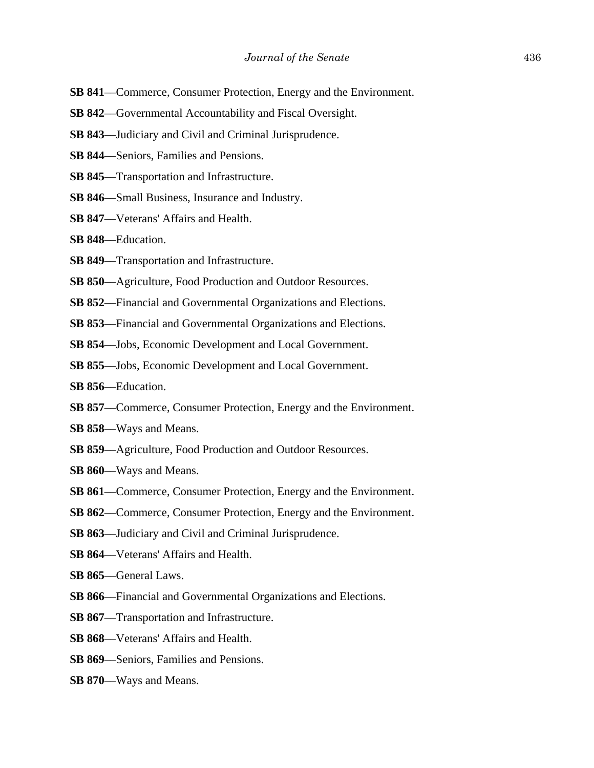- **SB 841—Commerce, Consumer Protection, Energy and the Environment.**
- **SB 842—Governmental Accountability and Fiscal Oversight.**
- **SB 843**––Judiciary and Civil and Criminal Jurisprudence.
- **SB 844**––Seniors, Families and Pensions.
- **SB 845**––Transportation and Infrastructure.
- **SB 846**––Small Business, Insurance and Industry.
- **SB 847**––Veterans' Affairs and Health.
- **SB 848**––Education.
- **SB 849**––Transportation and Infrastructure.
- **SB 850**—Agriculture, Food Production and Outdoor Resources.
- **SB 852**––Financial and Governmental Organizations and Elections.
- **SB 853**––Financial and Governmental Organizations and Elections.
- **SB 854**––Jobs, Economic Development and Local Government.
- **SB 855**––Jobs, Economic Development and Local Government.
- **SB 856**––Education.
- **SB 857**––Commerce, Consumer Protection, Energy and the Environment.
- **SB 858**––Ways and Means.
- **SB 859**––Agriculture, Food Production and Outdoor Resources.
- **SB 860**––Ways and Means.
- **SB 861—Commerce, Consumer Protection, Energy and the Environment.**
- **SB 862**––Commerce, Consumer Protection, Energy and the Environment.
- **SB 863**––Judiciary and Civil and Criminal Jurisprudence.
- **SB 864**––Veterans' Affairs and Health.
- **SB 865**––General Laws.
- **SB 866**––Financial and Governmental Organizations and Elections.
- **SB 867**––Transportation and Infrastructure.
- **SB 868**––Veterans' Affairs and Health.
- **SB 869**––Seniors, Families and Pensions.
- **SB 870**––Ways and Means.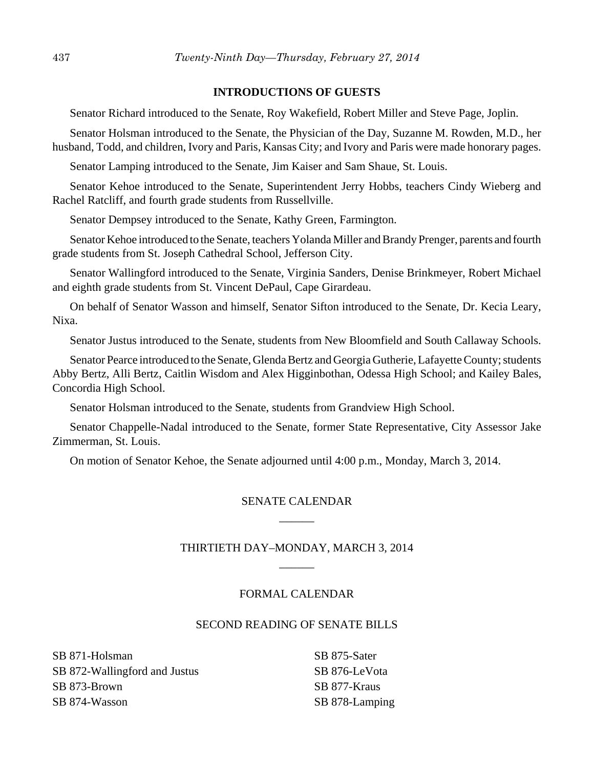## **INTRODUCTIONS OF GUESTS**

Senator Richard introduced to the Senate, Roy Wakefield, Robert Miller and Steve Page, Joplin.

Senator Holsman introduced to the Senate, the Physician of the Day, Suzanne M. Rowden, M.D., her husband, Todd, and children, Ivory and Paris, Kansas City; and Ivory and Paris were made honorary pages.

Senator Lamping introduced to the Senate, Jim Kaiser and Sam Shaue, St. Louis.

Senator Kehoe introduced to the Senate, Superintendent Jerry Hobbs, teachers Cindy Wieberg and Rachel Ratcliff, and fourth grade students from Russellville.

Senator Dempsey introduced to the Senate, Kathy Green, Farmington.

Senator Kehoe introduced to the Senate, teachers Yolanda Miller and Brandy Prenger, parents and fourth grade students from St. Joseph Cathedral School, Jefferson City.

Senator Wallingford introduced to the Senate, Virginia Sanders, Denise Brinkmeyer, Robert Michael and eighth grade students from St. Vincent DePaul, Cape Girardeau.

On behalf of Senator Wasson and himself, Senator Sifton introduced to the Senate, Dr. Kecia Leary, Nixa.

Senator Justus introduced to the Senate, students from New Bloomfield and South Callaway Schools.

Senator Pearce introduced to the Senate, Glenda Bertz and Georgia Gutherie, Lafayette County; students Abby Bertz, Alli Bertz, Caitlin Wisdom and Alex Higginbothan, Odessa High School; and Kailey Bales, Concordia High School.

Senator Holsman introduced to the Senate, students from Grandview High School.

Senator Chappelle-Nadal introduced to the Senate, former State Representative, City Assessor Jake Zimmerman, St. Louis.

On motion of Senator Kehoe, the Senate adjourned until 4:00 p.m., Monday, March 3, 2014.

# SENATE CALENDAR  $\overline{\phantom{a}}$

# THIRTIETH DAY–MONDAY, MARCH 3, 2014  $\overline{\phantom{a}}$

# FORMAL CALENDAR

## SECOND READING OF SENATE BILLS

SB 871-Holsman SB 872-Wallingford and Justus SB 873-Brown SB 874-Wasson

SB 875-Sater SB 876-LeVota SB 877-Kraus SB 878-Lamping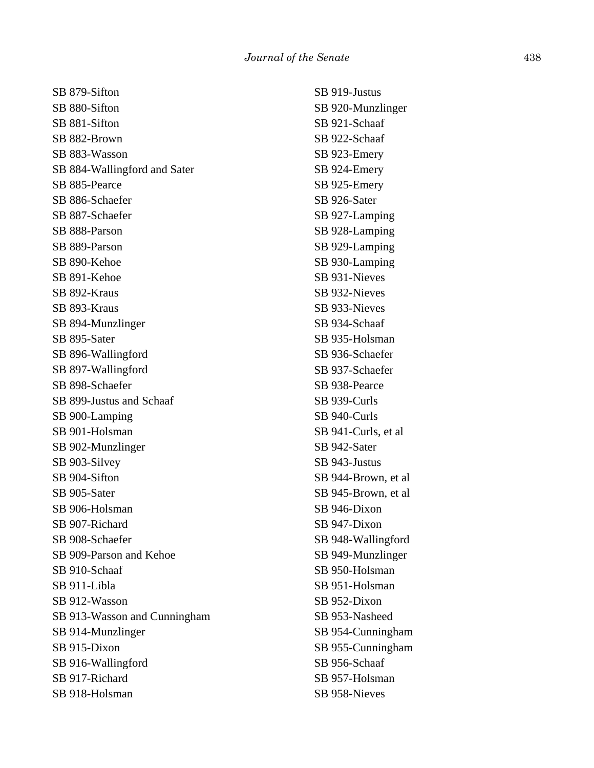SB 879-Sifton SB 880-Sifton SB 881-Sifton SB 882-Brown SB 883-Wasson SB 884-Wallingford and Sater SB 885-Pearce SB 886-Schaefer SB 887-Schaefer SB 888-Parson SB 889-Parson SB 890-Kehoe SB 891-Kehoe SB 892-Kraus SB 893-Kraus SB 894-Munzlinger SB 895-Sater SB 896-Wallingford SB 897-Wallingford SB 898-Schaefer SB 899-Justus and Schaaf SB 900-Lamping SB 901-Holsman SB 902-Munzlinger SB 903-Silvey SB 904-Sifton SB 905-Sater SB 906-Holsman SB 907-Richard SB 908-Schaefer SB 909-Parson and Kehoe SB 910-Schaaf SB 911-Libla SB 912-Wasson SB 913-Wasson and Cunningham SB 914-Munzlinger SB 915-Dixon SB 916-Wallingford SB 917-Richard SB 918-Holsman

SB 919-Justus SB 920-Munzlinger SB 921-Schaaf SB 922-Schaaf SB 923-Emery SB 924-Emery SB 925-Emery SB 926-Sater SB 927-Lamping SB 928-Lamping SB 929-Lamping SB 930-Lamping SB 931-Nieves SB 932-Nieves SB 933-Nieves SB 934-Schaaf SB 935-Holsman SB 936-Schaefer SB 937-Schaefer SB 938-Pearce SB 939-Curls SB 940-Curls SB 941-Curls, et al SB 942-Sater SB 943-Justus SB 944-Brown, et al SB 945-Brown, et al SB 946-Dixon SB 947-Dixon SB 948-Wallingford SB 949-Munzlinger SB 950-Holsman SB 951-Holsman SB 952-Dixon SB 953-Nasheed SB 954-Cunningham SB 955-Cunningham SB 956-Schaaf SB 957-Holsman

SB 958-Nieves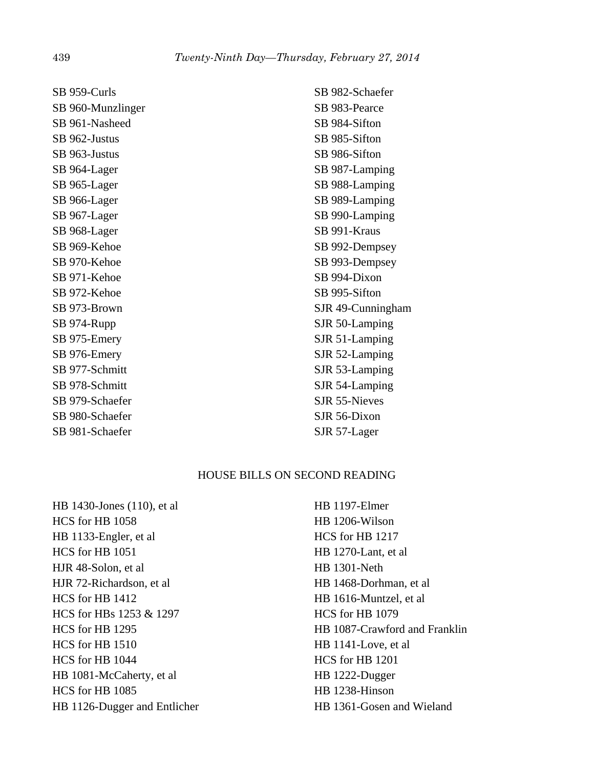| SB 959-Curls      | SB 982-Schaefer   |
|-------------------|-------------------|
| SB 960-Munzlinger | SB 983-Pearce     |
| SB 961-Nasheed    | SB 984-Sifton     |
| SB 962-Justus     | SB 985-Sifton     |
| SB 963-Justus     | SB 986-Sifton     |
| SB 964-Lager      | SB 987-Lamping    |
| SB 965-Lager      | SB 988-Lamping    |
| SB 966-Lager      | SB 989-Lamping    |
| SB 967-Lager      | SB 990-Lamping    |
| SB 968-Lager      | SB 991-Kraus      |
| SB 969-Kehoe      | SB 992-Dempsey    |
| SB 970-Kehoe      | SB 993-Dempsey    |
| SB 971-Kehoe      | SB 994-Dixon      |
| SB 972-Kehoe      | SB 995-Sifton     |
| SB 973-Brown      | SJR 49-Cunningham |
| SB 974-Rupp       | SJR 50-Lamping    |
| SB 975-Emery      | SJR 51-Lamping    |
| SB 976-Emery      | SJR 52-Lamping    |
| SB 977-Schmitt    | SJR 53-Lamping    |
| SB 978-Schmitt    | SJR 54-Lamping    |
| SB 979-Schaefer   | SJR 55-Nieves     |
| SB 980-Schaefer   | SJR 56-Dixon      |
| SB 981-Schaefer   | SJR 57-Lager      |

## HOUSE BILLS ON SECOND READING

HB 1430-Jones (110), et al HCS for HB 1058 HB 1133-Engler, et al HCS for HB 1051 HJR 48-Solon, et al HJR 72-Richardson, et al HCS for HB 1412 HCS for HBs 1253 & 1297 HCS for HB 1295 HCS for HB 1510 HCS for HB 1044 HB 1081-McCaherty, et al HCS for HB 1085 HB 1126-Dugger and Entlicher HB 1197-Elmer HB 1206-Wilson HCS for HB 1217 HB 1270-Lant, et al HB 1301-Neth HB 1468-Dorhman, et al HB 1616-Muntzel, et al HCS for HB 1079 HB 1087-Crawford and Franklin HB 1141-Love, et al HCS for HB 1201 HB 1222-Dugger HB 1238-Hinson HB 1361-Gosen and Wieland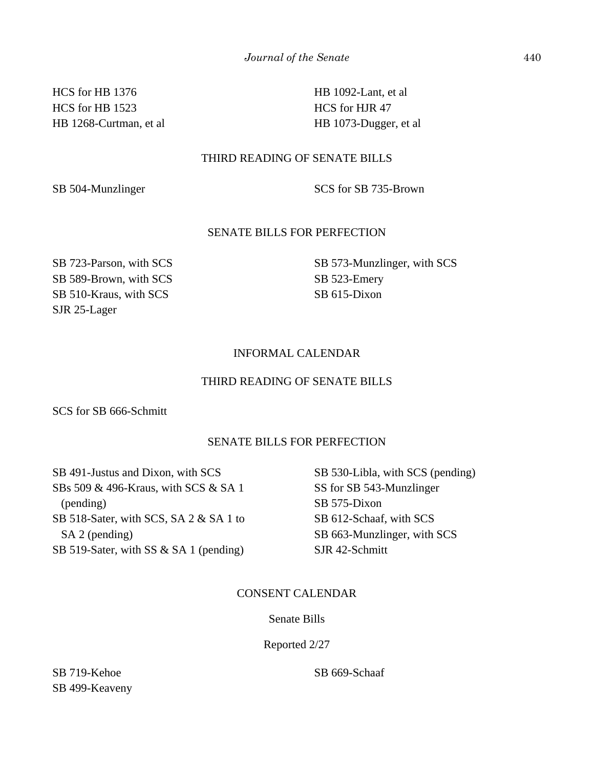HCS for HB 1376 HCS for HB 1523 HB 1268-Curtman, et al HB 1092-Lant, et al HCS for HJR 47 HB 1073-Dugger, et al

# THIRD READING OF SENATE BILLS

SB 504-Munzlinger SCS for SB 735-Brown

# SENATE BILLS FOR PERFECTION

SB 723-Parson, with SCS SB 589-Brown, with SCS SB 510-Kraus, with SCS SJR 25-Lager

SB 573-Munzlinger, with SCS SB 523-Emery SB 615-Dixon

# INFORMAL CALENDAR

## THIRD READING OF SENATE BILLS

SCS for SB 666-Schmitt

#### SENATE BILLS FOR PERFECTION

SB 491-Justus and Dixon, with SCS SBs 509 & 496-Kraus, with SCS & SA 1 (pending) SB 518-Sater, with SCS, SA 2 & SA 1 to SA 2 (pending) SB 519-Sater, with SS & SA 1 (pending)

SB 530-Libla, with SCS (pending) SS for SB 543-Munzlinger SB 575-Dixon SB 612-Schaaf, with SCS SB 663-Munzlinger, with SCS SJR 42-Schmitt

#### CONSENT CALENDAR

## Senate Bills

#### Reported 2/27

SB 719-Kehoe SB 499-Keaveny SB 669-Schaaf